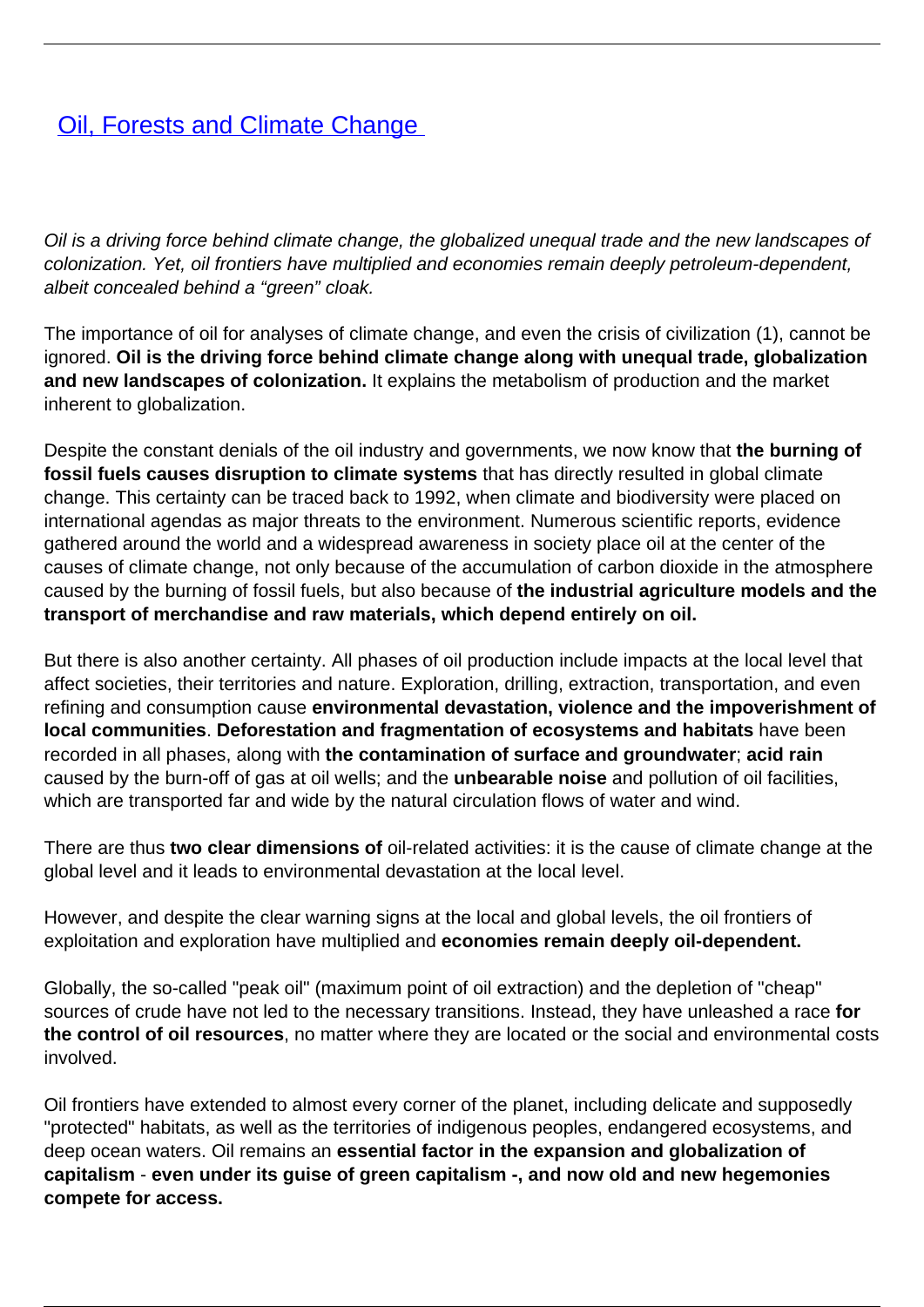## *[Oil, Forests and Climate Change](/bulletin-articles/oil-forests-and-climate-change)*

Oil is a driving force behind climate change, the globalized unequal trade and the new landscapes of colonization. Yet, oil frontiers have multiplied and economies remain deeply petroleum-dependent, albeit concealed behind a "green" cloak.

The importance of oil for analyses of climate change, and even the crisis of civilization (1), cannot be ignored. **Oil is the driving force behind climate change along with unequal trade, globalization and new landscapes of colonization.** It explains the metabolism of production and the market inherent to globalization.

Despite the constant denials of the oil industry and governments, we now know that **the burning of fossil fuels causes disruption to climate systems** that has directly resulted in global climate change. This certainty can be traced back to 1992, when climate and biodiversity were placed on international agendas as major threats to the environment. Numerous scientific reports, evidence gathered around the world and a widespread awareness in society place oil at the center of the causes of climate change, not only because of the accumulation of carbon dioxide in the atmosphere caused by the burning of fossil fuels, but also because of **the industrial agriculture models and the transport of merchandise and raw materials, which depend entirely on oil.**

But there is also another certainty. All phases of oil production include impacts at the local level that affect societies, their territories and nature. Exploration, drilling, extraction, transportation, and even refining and consumption cause **environmental devastation, violence and the impoverishment of local communities**. **Deforestation and fragmentation of ecosystems and habitats** have been recorded in all phases, along with **the contamination of surface and groundwater**; **acid rain** caused by the burn-off of gas at oil wells; and the **unbearable noise** and pollution of oil facilities, which are transported far and wide by the natural circulation flows of water and wind.

There are thus **two clear dimensions of** oil-related activities: it is the cause of climate change at the global level and it leads to environmental devastation at the local level.

However, and despite the clear warning signs at the local and global levels, the oil frontiers of exploitation and exploration have multiplied and **economies remain deeply oil-dependent.**

Globally, the so-called "peak oil" (maximum point of oil extraction) and the depletion of "cheap" sources of crude have not led to the necessary transitions. Instead, they have unleashed a race **for the control of oil resources**, no matter where they are located or the social and environmental costs involved.

Oil frontiers have extended to almost every corner of the planet, including delicate and supposedly "protected" habitats, as well as the territories of indigenous peoples, endangered ecosystems, and deep ocean waters. Oil remains an **essential factor in the expansion and globalization of capitalism** - **even under its guise of green capitalism -, and now old and new hegemonies compete for access.**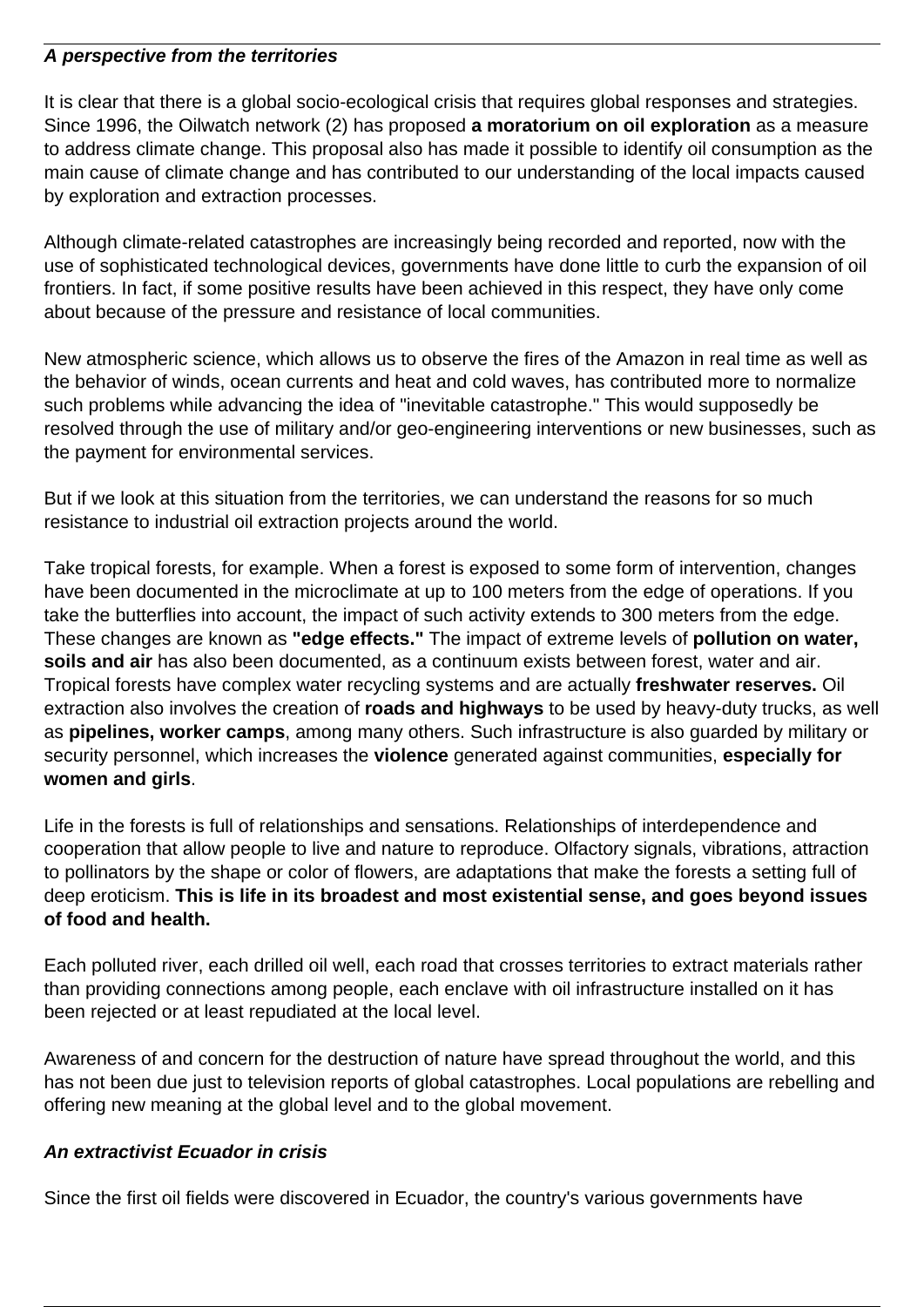## **A perspective from the territories**

It is clear that there is a global socio-ecological crisis that requires global responses and strategies. Since 1996, the Oilwatch network (2) has proposed **a moratorium on oil exploration** as a measure to address climate change. This proposal also has made it possible to identify oil consumption as the main cause of climate change and has contributed to our understanding of the local impacts caused by exploration and extraction processes.

Although climate-related catastrophes are increasingly being recorded and reported, now with the use of sophisticated technological devices, governments have done little to curb the expansion of oil frontiers. In fact, if some positive results have been achieved in this respect, they have only come about because of the pressure and resistance of local communities.

New atmospheric science, which allows us to observe the fires of the Amazon in real time as well as the behavior of winds, ocean currents and heat and cold waves, has contributed more to normalize such problems while advancing the idea of "inevitable catastrophe." This would supposedly be resolved through the use of military and/or geo-engineering interventions or new businesses, such as the payment for environmental services.

But if we look at this situation from the territories, we can understand the reasons for so much resistance to industrial oil extraction projects around the world.

Take tropical forests, for example. When a forest is exposed to some form of intervention, changes have been documented in the microclimate at up to 100 meters from the edge of operations. If you take the butterflies into account, the impact of such activity extends to 300 meters from the edge. These changes are known as **"edge effects."** The impact of extreme levels of **pollution on water, soils and air** has also been documented, as a continuum exists between forest, water and air. Tropical forests have complex water recycling systems and are actually **freshwater reserves.** Oil extraction also involves the creation of **roads and highways** to be used by heavy-duty trucks, as well as **pipelines, worker camps**, among many others. Such infrastructure is also guarded by military or security personnel, which increases the **violence** generated against communities, **especially for women and girls**.

Life in the forests is full of relationships and sensations. Relationships of interdependence and cooperation that allow people to live and nature to reproduce. Olfactory signals, vibrations, attraction to pollinators by the shape or color of flowers, are adaptations that make the forests a setting full of deep eroticism. **This is life in its broadest and most existential sense, and goes beyond issues of food and health.**

Each polluted river, each drilled oil well, each road that crosses territories to extract materials rather than providing connections among people, each enclave with oil infrastructure installed on it has been rejected or at least repudiated at the local level.

Awareness of and concern for the destruction of nature have spread throughout the world, and this has not been due just to television reports of global catastrophes. Local populations are rebelling and offering new meaning at the global level and to the global movement.

## **An extractivist Ecuador in crisis**

Since the first oil fields were discovered in Ecuador, the country's various governments have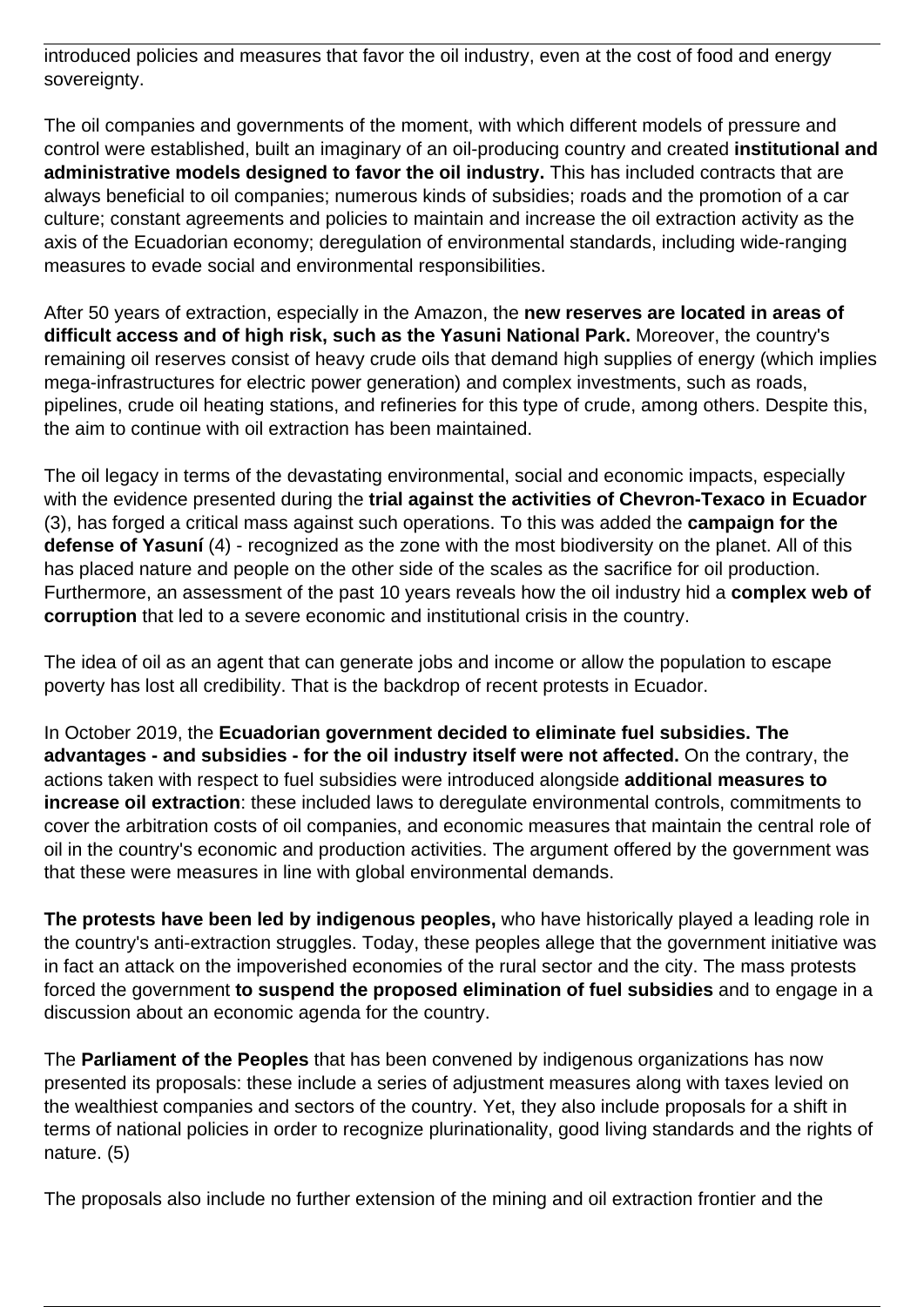introduced policies and measures that favor the oil industry, even at the cost of food and energy sovereignty.

The oil companies and governments of the moment, with which different models of pressure and control were established, built an imaginary of an oil-producing country and created **institutional and administrative models designed to favor the oil industry.** This has included contracts that are always beneficial to oil companies; numerous kinds of subsidies; roads and the promotion of a car culture; constant agreements and policies to maintain and increase the oil extraction activity as the axis of the Ecuadorian economy; deregulation of environmental standards, including wide-ranging measures to evade social and environmental responsibilities.

After 50 years of extraction, especially in the Amazon, the **new reserves are located in areas of difficult access and of high risk, such as the Yasuni National Park.** Moreover, the country's remaining oil reserves consist of heavy crude oils that demand high supplies of energy (which implies mega-infrastructures for electric power generation) and complex investments, such as roads, pipelines, crude oil heating stations, and refineries for this type of crude, among others. Despite this, the aim to continue with oil extraction has been maintained.

The oil legacy in terms of the devastating environmental, social and economic impacts, especially with the evidence presented during the **trial against the activities of Chevron-Texaco in Ecuador** (3), has forged a critical mass against such operations. To this was added the **campaign for the defense of Yasuní** (4) - recognized as the zone with the most biodiversity on the planet. All of this has placed nature and people on the other side of the scales as the sacrifice for oil production. Furthermore, an assessment of the past 10 years reveals how the oil industry hid a **complex web of corruption** that led to a severe economic and institutional crisis in the country.

The idea of oil as an agent that can generate jobs and income or allow the population to escape poverty has lost all credibility. That is the backdrop of recent protests in Ecuador.

In October 2019, the **Ecuadorian government decided to eliminate fuel subsidies. The advantages - and subsidies - for the oil industry itself were not affected.** On the contrary, the actions taken with respect to fuel subsidies were introduced alongside **additional measures to increase oil extraction**: these included laws to deregulate environmental controls, commitments to cover the arbitration costs of oil companies, and economic measures that maintain the central role of oil in the country's economic and production activities. The argument offered by the government was that these were measures in line with global environmental demands.

**The protests have been led by indigenous peoples,** who have historically played a leading role in the country's anti-extraction struggles. Today, these peoples allege that the government initiative was in fact an attack on the impoverished economies of the rural sector and the city. The mass protests forced the government **to suspend the proposed elimination of fuel subsidies** and to engage in a discussion about an economic agenda for the country.

The **Parliament of the Peoples** that has been convened by indigenous organizations has now presented its proposals: these include a series of adjustment measures along with taxes levied on the wealthiest companies and sectors of the country. Yet, they also include proposals for a shift in terms of national policies in order to recognize plurinationality, good living standards and the rights of nature. (5)

The proposals also include no further extension of the mining and oil extraction frontier and the